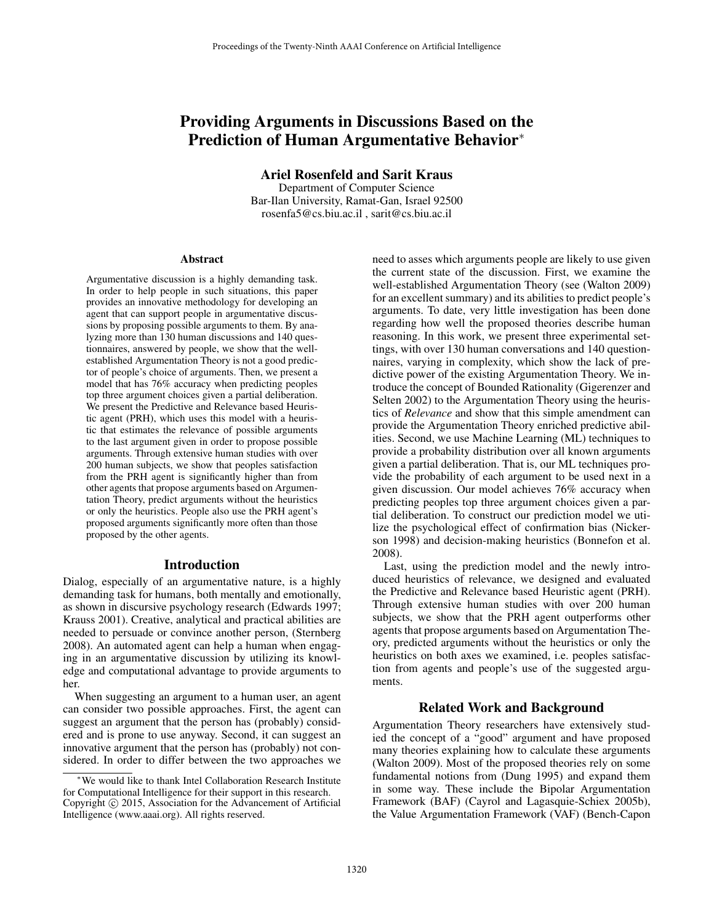# Providing Arguments in Discussions Based on the Prediction of Human Argumentative Behavior<sup>∗</sup>

Ariel Rosenfeld and Sarit Kraus

Department of Computer Science Bar-Ilan University, Ramat-Gan, Israel 92500 rosenfa5@cs.biu.ac.il , sarit@cs.biu.ac.il

#### Abstract

Argumentative discussion is a highly demanding task. In order to help people in such situations, this paper provides an innovative methodology for developing an agent that can support people in argumentative discussions by proposing possible arguments to them. By analyzing more than 130 human discussions and 140 questionnaires, answered by people, we show that the wellestablished Argumentation Theory is not a good predictor of people's choice of arguments. Then, we present a model that has 76% accuracy when predicting peoples top three argument choices given a partial deliberation. We present the Predictive and Relevance based Heuristic agent (PRH), which uses this model with a heuristic that estimates the relevance of possible arguments to the last argument given in order to propose possible arguments. Through extensive human studies with over 200 human subjects, we show that peoples satisfaction from the PRH agent is significantly higher than from other agents that propose arguments based on Argumentation Theory, predict arguments without the heuristics or only the heuristics. People also use the PRH agent's proposed arguments significantly more often than those proposed by the other agents.

#### Introduction

Dialog, especially of an argumentative nature, is a highly demanding task for humans, both mentally and emotionally, as shown in discursive psychology research (Edwards 1997; Krauss 2001). Creative, analytical and practical abilities are needed to persuade or convince another person, (Sternberg 2008). An automated agent can help a human when engaging in an argumentative discussion by utilizing its knowledge and computational advantage to provide arguments to her.

When suggesting an argument to a human user, an agent can consider two possible approaches. First, the agent can suggest an argument that the person has (probably) considered and is prone to use anyway. Second, it can suggest an innovative argument that the person has (probably) not considered. In order to differ between the two approaches we

need to asses which arguments people are likely to use given the current state of the discussion. First, we examine the well-established Argumentation Theory (see (Walton 2009) for an excellent summary) and its abilities to predict people's arguments. To date, very little investigation has been done regarding how well the proposed theories describe human reasoning. In this work, we present three experimental settings, with over 130 human conversations and 140 questionnaires, varying in complexity, which show the lack of predictive power of the existing Argumentation Theory. We introduce the concept of Bounded Rationality (Gigerenzer and Selten 2002) to the Argumentation Theory using the heuristics of *Relevance* and show that this simple amendment can provide the Argumentation Theory enriched predictive abilities. Second, we use Machine Learning (ML) techniques to provide a probability distribution over all known arguments given a partial deliberation. That is, our ML techniques provide the probability of each argument to be used next in a given discussion. Our model achieves 76% accuracy when predicting peoples top three argument choices given a partial deliberation. To construct our prediction model we utilize the psychological effect of confirmation bias (Nickerson 1998) and decision-making heuristics (Bonnefon et al. 2008).

Last, using the prediction model and the newly introduced heuristics of relevance, we designed and evaluated the Predictive and Relevance based Heuristic agent (PRH). Through extensive human studies with over 200 human subjects, we show that the PRH agent outperforms other agents that propose arguments based on Argumentation Theory, predicted arguments without the heuristics or only the heuristics on both axes we examined, i.e. peoples satisfaction from agents and people's use of the suggested arguments.

## Related Work and Background

Argumentation Theory researchers have extensively studied the concept of a "good" argument and have proposed many theories explaining how to calculate these arguments (Walton 2009). Most of the proposed theories rely on some fundamental notions from (Dung 1995) and expand them in some way. These include the Bipolar Argumentation Framework (BAF) (Cayrol and Lagasquie-Schiex 2005b), the Value Argumentation Framework (VAF) (Bench-Capon

<sup>∗</sup>We would like to thank Intel Collaboration Research Institute for Computational Intelligence for their support in this research. Copyright © 2015, Association for the Advancement of Artificial Intelligence (www.aaai.org). All rights reserved.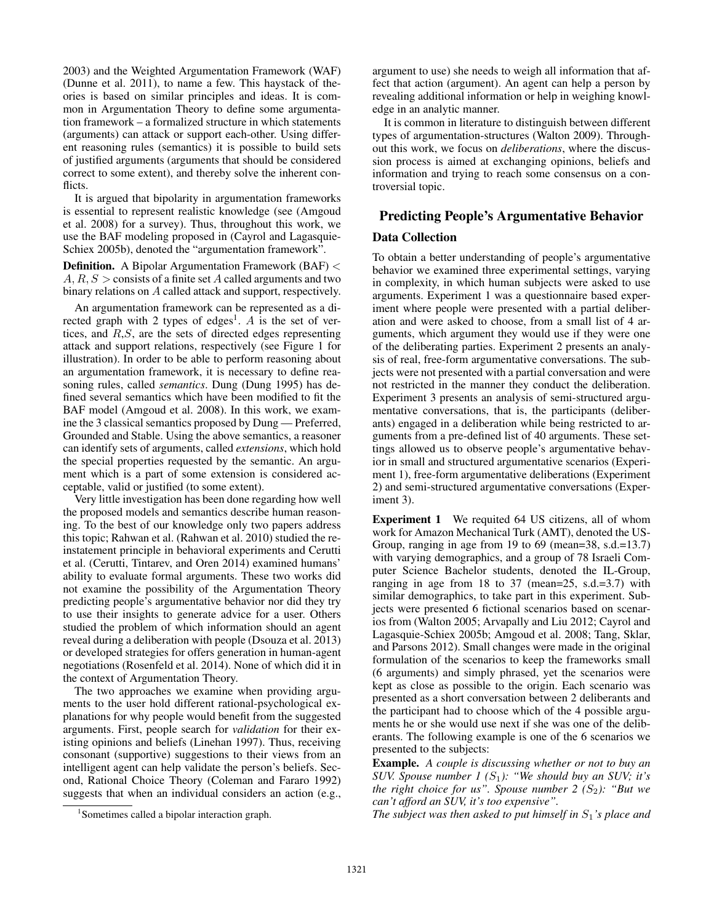2003) and the Weighted Argumentation Framework (WAF) (Dunne et al. 2011), to name a few. This haystack of theories is based on similar principles and ideas. It is common in Argumentation Theory to define some argumentation framework – a formalized structure in which statements (arguments) can attack or support each-other. Using different reasoning rules (semantics) it is possible to build sets of justified arguments (arguments that should be considered correct to some extent), and thereby solve the inherent conflicts.

It is argued that bipolarity in argumentation frameworks is essential to represent realistic knowledge (see (Amgoud et al. 2008) for a survey). Thus, throughout this work, we use the BAF modeling proposed in (Cayrol and Lagasquie-Schiex 2005b), denoted the "argumentation framework".

Definition. A Bipolar Argumentation Framework (BAF) <  $A, R, S >$  consists of a finite set A called arguments and two binary relations on A called attack and support, respectively.

An argumentation framework can be represented as a directed graph with 2 types of edges<sup>1</sup>. A is the set of vertices, and R,S, are the sets of directed edges representing attack and support relations, respectively (see Figure 1 for illustration). In order to be able to perform reasoning about an argumentation framework, it is necessary to define reasoning rules, called *semantics*. Dung (Dung 1995) has defined several semantics which have been modified to fit the BAF model (Amgoud et al. 2008). In this work, we examine the 3 classical semantics proposed by Dung — Preferred, Grounded and Stable. Using the above semantics, a reasoner can identify sets of arguments, called *extensions*, which hold the special properties requested by the semantic. An argument which is a part of some extension is considered acceptable, valid or justified (to some extent).

Very little investigation has been done regarding how well the proposed models and semantics describe human reasoning. To the best of our knowledge only two papers address this topic; Rahwan et al. (Rahwan et al. 2010) studied the reinstatement principle in behavioral experiments and Cerutti et al. (Cerutti, Tintarev, and Oren 2014) examined humans' ability to evaluate formal arguments. These two works did not examine the possibility of the Argumentation Theory predicting people's argumentative behavior nor did they try to use their insights to generate advice for a user. Others studied the problem of which information should an agent reveal during a deliberation with people (Dsouza et al. 2013) or developed strategies for offers generation in human-agent negotiations (Rosenfeld et al. 2014). None of which did it in the context of Argumentation Theory.

The two approaches we examine when providing arguments to the user hold different rational-psychological explanations for why people would benefit from the suggested arguments. First, people search for *validation* for their existing opinions and beliefs (Linehan 1997). Thus, receiving consonant (supportive) suggestions to their views from an intelligent agent can help validate the person's beliefs. Second, Rational Choice Theory (Coleman and Fararo 1992) suggests that when an individual considers an action (e.g.,

argument to use) she needs to weigh all information that affect that action (argument). An agent can help a person by revealing additional information or help in weighing knowledge in an analytic manner.

It is common in literature to distinguish between different types of argumentation-structures (Walton 2009). Throughout this work, we focus on *deliberations*, where the discussion process is aimed at exchanging opinions, beliefs and information and trying to reach some consensus on a controversial topic.

# Predicting People's Argumentative Behavior Data Collection

To obtain a better understanding of people's argumentative behavior we examined three experimental settings, varying in complexity, in which human subjects were asked to use arguments. Experiment 1 was a questionnaire based experiment where people were presented with a partial deliberation and were asked to choose, from a small list of 4 arguments, which argument they would use if they were one of the deliberating parties. Experiment 2 presents an analysis of real, free-form argumentative conversations. The subjects were not presented with a partial conversation and were not restricted in the manner they conduct the deliberation. Experiment 3 presents an analysis of semi-structured argumentative conversations, that is, the participants (deliberants) engaged in a deliberation while being restricted to arguments from a pre-defined list of 40 arguments. These settings allowed us to observe people's argumentative behavior in small and structured argumentative scenarios (Experiment 1), free-form argumentative deliberations (Experiment 2) and semi-structured argumentative conversations (Experiment 3).

Experiment 1 We requited 64 US citizens, all of whom work for Amazon Mechanical Turk (AMT), denoted the US-Group, ranging in age from 19 to 69 (mean=38, s.d.=13.7) with varying demographics, and a group of 78 Israeli Computer Science Bachelor students, denoted the IL-Group, ranging in age from 18 to 37 (mean= $25$ , s.d.= $3.7$ ) with similar demographics, to take part in this experiment. Subjects were presented 6 fictional scenarios based on scenarios from (Walton 2005; Arvapally and Liu 2012; Cayrol and Lagasquie-Schiex 2005b; Amgoud et al. 2008; Tang, Sklar, and Parsons 2012). Small changes were made in the original formulation of the scenarios to keep the frameworks small (6 arguments) and simply phrased, yet the scenarios were kept as close as possible to the origin. Each scenario was presented as a short conversation between 2 deliberants and the participant had to choose which of the 4 possible arguments he or she would use next if she was one of the deliberants. The following example is one of the 6 scenarios we presented to the subjects:

Example. *A couple is discussing whether or not to buy an SUV. Spouse number 1 (*S1*): "We should buy an SUV; it's the right choice for us". Spouse number 2*  $(S_2)$ *: "But we can't afford an SUV, it's too expensive".*

*The subject was then asked to put himself in*  $S_1$ 's place and

<sup>1</sup> Sometimes called a bipolar interaction graph.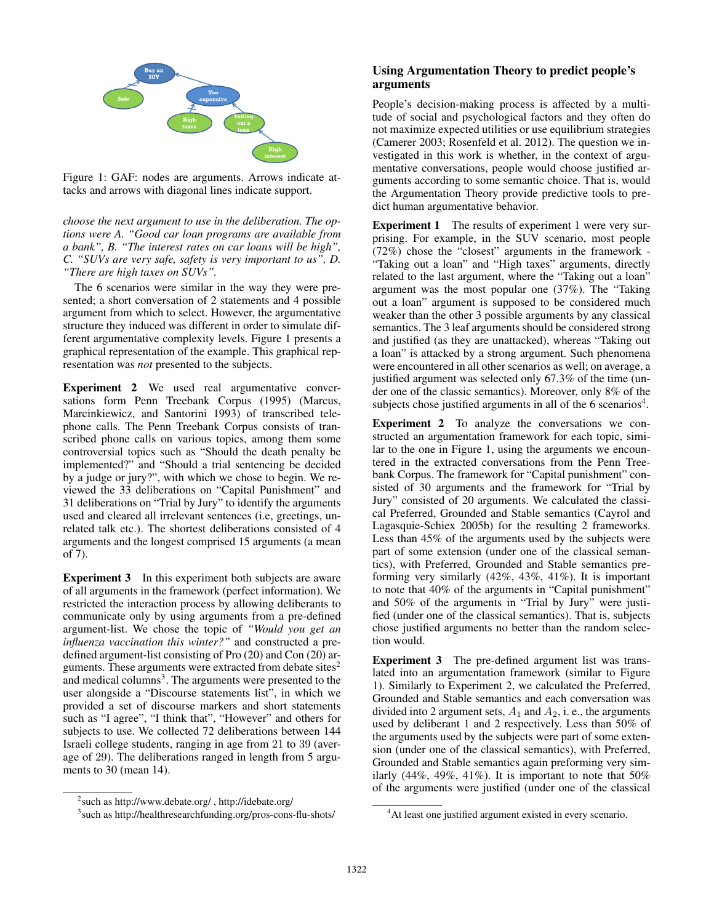

Figure 1: GAF: nodes are arguments. Arrows indicate attacks and arrows with diagonal lines indicate support.

*choose the next argument to use in the deliberation. The options were A. "Good car loan programs are available from a bank", B. "The interest rates on car loans will be high", C. "SUVs are very safe, safety is very important to us", D. "There are high taxes on SUVs".*

The 6 scenarios were similar in the way they were presented; a short conversation of 2 statements and 4 possible argument from which to select. However, the argumentative structure they induced was different in order to simulate different argumentative complexity levels. Figure 1 presents a graphical representation of the example. This graphical representation was *not* presented to the subjects.

Experiment 2 We used real argumentative conversations form Penn Treebank Corpus (1995) (Marcus, Marcinkiewicz, and Santorini 1993) of transcribed telephone calls. The Penn Treebank Corpus consists of transcribed phone calls on various topics, among them some controversial topics such as "Should the death penalty be implemented?" and "Should a trial sentencing be decided by a judge or jury?", with which we chose to begin. We reviewed the 33 deliberations on "Capital Punishment" and 31 deliberations on "Trial by Jury" to identify the arguments used and cleared all irrelevant sentences (i.e, greetings, unrelated talk etc.). The shortest deliberations consisted of 4 arguments and the longest comprised 15 arguments (a mean of 7).

Experiment 3 In this experiment both subjects are aware of all arguments in the framework (perfect information). We restricted the interaction process by allowing deliberants to communicate only by using arguments from a pre-defined argument-list. We chose the topic of *"Would you get an influenza vaccination this winter?"* and constructed a predefined argument-list consisting of Pro (20) and Con (20) arguments. These arguments were extracted from debate sites $2$ and medical columns<sup>3</sup>. The arguments were presented to the user alongside a "Discourse statements list", in which we provided a set of discourse markers and short statements such as "I agree", "I think that", "However" and others for subjects to use. We collected 72 deliberations between 144 Israeli college students, ranging in age from 21 to 39 (average of 29). The deliberations ranged in length from 5 arguments to 30 (mean 14).

### 2 such as http://www.debate.org/ , http://idebate.org/

# Using Argumentation Theory to predict people's arguments

People's decision-making process is affected by a multitude of social and psychological factors and they often do not maximize expected utilities or use equilibrium strategies (Camerer 2003; Rosenfeld et al. 2012). The question we investigated in this work is whether, in the context of argumentative conversations, people would choose justified arguments according to some semantic choice. That is, would the Argumentation Theory provide predictive tools to predict human argumentative behavior.

Experiment 1 The results of experiment 1 were very surprising. For example, in the SUV scenario, most people (72%) chose the "closest" arguments in the framework - "Taking out a loan" and "High taxes" arguments, directly related to the last argument, where the "Taking out a loan" argument was the most popular one (37%). The "Taking out a loan" argument is supposed to be considered much weaker than the other 3 possible arguments by any classical semantics. The 3 leaf arguments should be considered strong and justified (as they are unattacked), whereas "Taking out a loan" is attacked by a strong argument. Such phenomena were encountered in all other scenarios as well; on average, a justified argument was selected only 67.3% of the time (under one of the classic semantics). Moreover, only 8% of the subjects chose justified arguments in all of the  $6$  scenarios<sup>4</sup>.

Experiment 2 To analyze the conversations we constructed an argumentation framework for each topic, similar to the one in Figure 1, using the arguments we encountered in the extracted conversations from the Penn Treebank Corpus. The framework for "Capital punishment" consisted of 30 arguments and the framework for "Trial by Jury" consisted of 20 arguments. We calculated the classical Preferred, Grounded and Stable semantics (Cayrol and Lagasquie-Schiex 2005b) for the resulting 2 frameworks. Less than 45% of the arguments used by the subjects were part of some extension (under one of the classical semantics), with Preferred, Grounded and Stable semantics preforming very similarly (42%, 43%, 41%). It is important to note that 40% of the arguments in "Capital punishment" and 50% of the arguments in "Trial by Jury" were justified (under one of the classical semantics). That is, subjects chose justified arguments no better than the random selection would.

Experiment 3 The pre-defined argument list was translated into an argumentation framework (similar to Figure 1). Similarly to Experiment 2, we calculated the Preferred, Grounded and Stable semantics and each conversation was divided into 2 argument sets,  $A_1$  and  $A_2$ , i. e., the arguments used by deliberant 1 and 2 respectively. Less than 50% of the arguments used by the subjects were part of some extension (under one of the classical semantics), with Preferred, Grounded and Stable semantics again preforming very similarly (44%, 49%, 41%). It is important to note that  $50\%$ of the arguments were justified (under one of the classical

<sup>3</sup> such as http://healthresearchfunding.org/pros-cons-flu-shots/

<sup>4</sup>At least one justified argument existed in every scenario.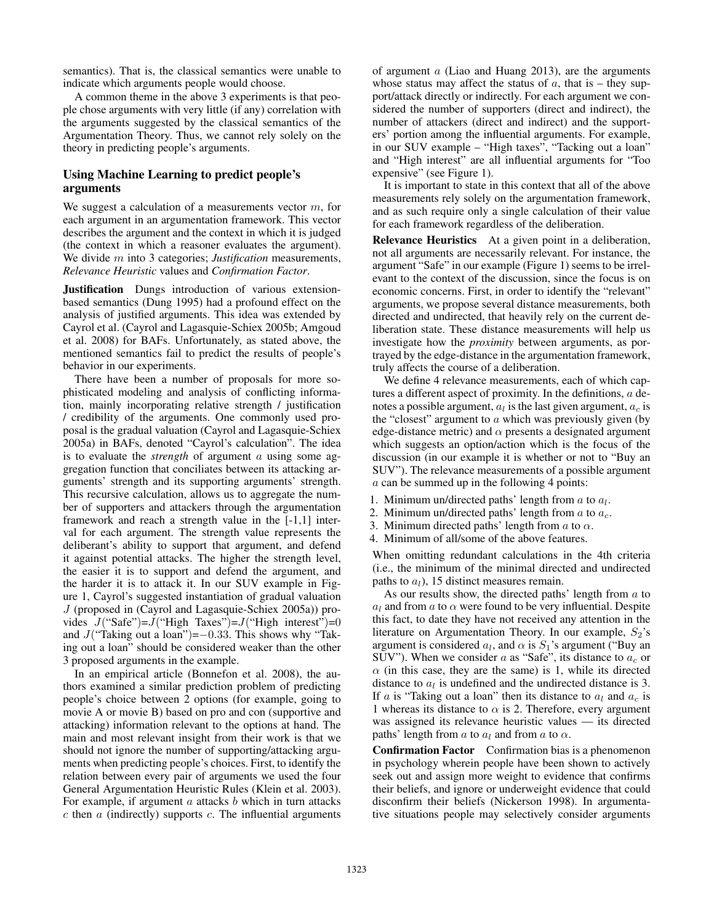semantics). That is, the classical semantics were unable to indicate which arguments people would choose.

A common theme in the above 3 experiments is that people chose arguments with very little (if any) correlation with the arguments suggested by the classical semantics of the Argumentation Theory. Thus, we cannot rely solely on the theory in predicting people's arguments.

## Using Machine Learning to predict people's arguments

We suggest a calculation of a measurements vector  $m$ , for each argument in an argumentation framework. This vector describes the argument and the context in which it is judged (the context in which a reasoner evaluates the argument). We divide m into 3 categories; *Justification* measurements, *Relevance Heuristic* values and *Confirmation Factor*.

Justification Dungs introduction of various extensionbased semantics (Dung 1995) had a profound effect on the analysis of justified arguments. This idea was extended by Cayrol et al. (Cayrol and Lagasquie-Schiex 2005b; Amgoud et al. 2008) for BAFs. Unfortunately, as stated above, the mentioned semantics fail to predict the results of people's behavior in our experiments.

There have been a number of proposals for more sophisticated modeling and analysis of conflicting information, mainly incorporating relative strength / justification / credibility of the arguments. One commonly used proposal is the gradual valuation (Cayrol and Lagasquie-Schiex 2005a) in BAFs, denoted "Cayrol's calculation". The idea is to evaluate the *strength* of argument a using some aggregation function that conciliates between its attacking arguments' strength and its supporting arguments' strength. This recursive calculation, allows us to aggregate the number of supporters and attackers through the argumentation framework and reach a strength value in the [-1,1] interval for each argument. The strength value represents the deliberant's ability to support that argument, and defend it against potential attacks. The higher the strength level, the easier it is to support and defend the argument, and the harder it is to attack it. In our SUV example in Figure 1, Cayrol's suggested instantiation of gradual valuation J (proposed in (Cayrol and Lagasquie-Schiex 2005a)) provides  $J("Safe")=J("High Taxes")=J("High interest")=0$ and  $J("Taking out a loan")=-0.33$ . This shows why "Taking out a loan" should be considered weaker than the other 3 proposed arguments in the example.

In an empirical article (Bonnefon et al. 2008), the authors examined a similar prediction problem of predicting people's choice between 2 options (for example, going to movie A or movie B) based on pro and con (supportive and attacking) information relevant to the options at hand. The main and most relevant insight from their work is that we should not ignore the number of supporting/attacking arguments when predicting people's choices. First, to identify the relation between every pair of arguments we used the four General Argumentation Heuristic Rules (Klein et al. 2003). For example, if argument  $a$  attacks  $b$  which in turn attacks  $c$  then  $a$  (indirectly) supports  $c$ . The influential arguments

of argument a (Liao and Huang 2013), are the arguments whose status may affect the status of  $a$ , that is – they support/attack directly or indirectly. For each argument we considered the number of supporters (direct and indirect), the number of attackers (direct and indirect) and the supporters' portion among the influential arguments. For example, in our SUV example – "High taxes", "Tacking out a loan" and "High interest" are all influential arguments for "Too expensive" (see Figure 1).

It is important to state in this context that all of the above measurements rely solely on the argumentation framework, and as such require only a single calculation of their value for each framework regardless of the deliberation.

Relevance Heuristics At a given point in a deliberation, not all arguments are necessarily relevant. For instance, the argument "Safe" in our example (Figure 1) seems to be irrelevant to the context of the discussion, since the focus is on economic concerns. First, in order to identify the "relevant" arguments, we propose several distance measurements, both directed and undirected, that heavily rely on the current deliberation state. These distance measurements will help us investigate how the *proximity* between arguments, as portrayed by the edge-distance in the argumentation framework, truly affects the course of a deliberation.

We define 4 relevance measurements, each of which captures a different aspect of proximity. In the definitions, a denotes a possible argument,  $a_l$  is the last given argument,  $a_c$  is the "closest" argument to  $\alpha$  which was previously given (by edge-distance metric) and  $\alpha$  presents a designated argument which suggests an option/action which is the focus of the discussion (in our example it is whether or not to "Buy an SUV"). The relevance measurements of a possible argument  $a$  can be summed up in the following 4 points:

- 1. Minimum un/directed paths' length from  $a$  to  $a_l$ .
- 2. Minimum un/directed paths' length from  $a$  to  $a_c$ .
- 3. Minimum directed paths' length from  $\alpha$  to  $\alpha$ .
- 4. Minimum of all/some of the above features.

When omitting redundant calculations in the 4th criteria (i.e., the minimum of the minimal directed and undirected paths to  $a_l$ ), 15 distinct measures remain.

As our results show, the directed paths' length from a to  $a_l$  and from a to  $\alpha$  were found to be very influential. Despite this fact, to date they have not received any attention in the literature on Argumentation Theory. In our example,  $S_2$ 's argument is considered  $a_l$ , and  $\alpha$  is  $S_1$ 's argument ("Buy an SUV"). When we consider a as "Safe", its distance to  $a_c$  or  $\alpha$  (in this case, they are the same) is 1, while its directed distance to  $a_l$  is undefined and the undirected distance is 3. If a is "Taking out a loan" then its distance to  $a_l$  and  $a_c$  is 1 whereas its distance to  $\alpha$  is 2. Therefore, every argument was assigned its relevance heuristic values — its directed paths' length from a to  $a_l$  and from a to  $\alpha$ .

Confirmation Factor Confirmation bias is a phenomenon in psychology wherein people have been shown to actively seek out and assign more weight to evidence that confirms their beliefs, and ignore or underweight evidence that could disconfirm their beliefs (Nickerson 1998). In argumentative situations people may selectively consider arguments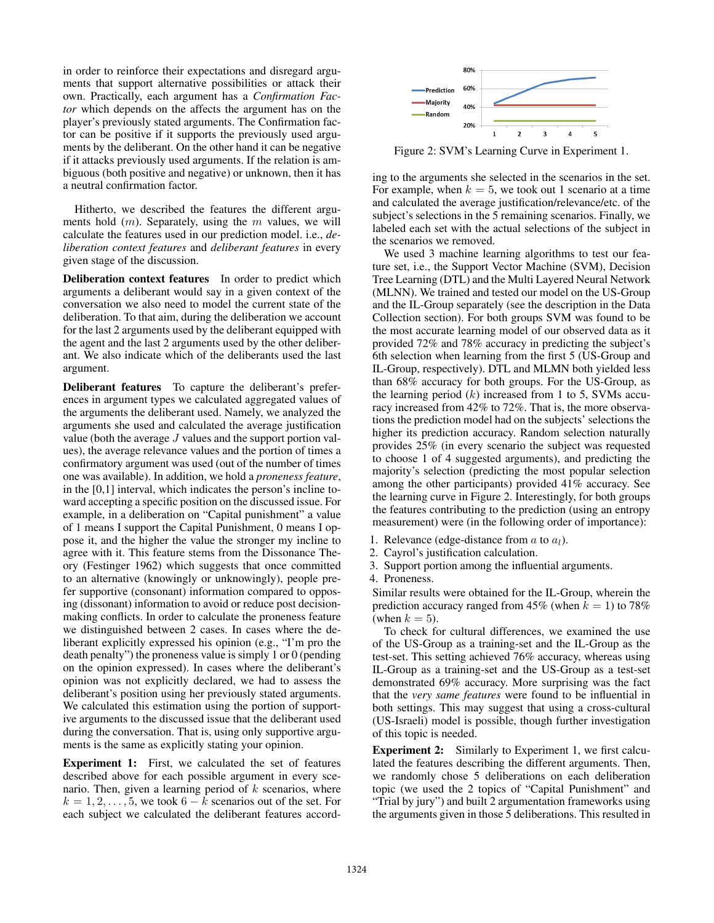in order to reinforce their expectations and disregard arguments that support alternative possibilities or attack their own. Practically, each argument has a *Confirmation Factor* which depends on the affects the argument has on the player's previously stated arguments. The Confirmation factor can be positive if it supports the previously used arguments by the deliberant. On the other hand it can be negative if it attacks previously used arguments. If the relation is ambiguous (both positive and negative) or unknown, then it has a neutral confirmation factor.

Hitherto, we described the features the different arguments hold  $(m)$ . Separately, using the m values, we will calculate the features used in our prediction model. i.e., *deliberation context features* and *deliberant features* in every given stage of the discussion.

Deliberation context features In order to predict which arguments a deliberant would say in a given context of the conversation we also need to model the current state of the deliberation. To that aim, during the deliberation we account for the last 2 arguments used by the deliberant equipped with the agent and the last 2 arguments used by the other deliberant. We also indicate which of the deliberants used the last argument.

Deliberant features To capture the deliberant's preferences in argument types we calculated aggregated values of the arguments the deliberant used. Namely, we analyzed the arguments she used and calculated the average justification value (both the average J values and the support portion values), the average relevance values and the portion of times a confirmatory argument was used (out of the number of times one was available). In addition, we hold a *proneness feature*, in the [0,1] interval, which indicates the person's incline toward accepting a specific position on the discussed issue. For example, in a deliberation on "Capital punishment" a value of 1 means I support the Capital Punishment, 0 means I oppose it, and the higher the value the stronger my incline to agree with it. This feature stems from the Dissonance Theory (Festinger 1962) which suggests that once committed to an alternative (knowingly or unknowingly), people prefer supportive (consonant) information compared to opposing (dissonant) information to avoid or reduce post decisionmaking conflicts. In order to calculate the proneness feature we distinguished between 2 cases. In cases where the deliberant explicitly expressed his opinion (e.g., "I'm pro the death penalty") the proneness value is simply 1 or 0 (pending on the opinion expressed). In cases where the deliberant's opinion was not explicitly declared, we had to assess the deliberant's position using her previously stated arguments. We calculated this estimation using the portion of supportive arguments to the discussed issue that the deliberant used during the conversation. That is, using only supportive arguments is the same as explicitly stating your opinion.

Experiment 1: First, we calculated the set of features described above for each possible argument in every scenario. Then, given a learning period of  $k$  scenarios, where  $k = 1, 2, \ldots, 5$ , we took 6 – k scenarios out of the set. For each subject we calculated the deliberant features accord-



Figure 2: SVM's Learning Curve in Experiment 1.

ing to the arguments she selected in the scenarios in the set. For example, when  $k = 5$ , we took out 1 scenario at a time and calculated the average justification/relevance/etc. of the subject's selections in the 5 remaining scenarios. Finally, we labeled each set with the actual selections of the subject in the scenarios we removed.

We used 3 machine learning algorithms to test our feature set, i.e., the Support Vector Machine (SVM), Decision Tree Learning (DTL) and the Multi Layered Neural Network (MLNN). We trained and tested our model on the US-Group and the IL-Group separately (see the description in the Data Collection section). For both groups SVM was found to be the most accurate learning model of our observed data as it provided 72% and 78% accuracy in predicting the subject's 6th selection when learning from the first 5 (US-Group and IL-Group, respectively). DTL and MLMN both yielded less than 68% accuracy for both groups. For the US-Group, as the learning period  $(k)$  increased from 1 to 5, SVMs accuracy increased from 42% to 72%. That is, the more observations the prediction model had on the subjects' selections the higher its prediction accuracy. Random selection naturally provides 25% (in every scenario the subject was requested to choose 1 of 4 suggested arguments), and predicting the majority's selection (predicting the most popular selection among the other participants) provided 41% accuracy. See the learning curve in Figure 2. Interestingly, for both groups the features contributing to the prediction (using an entropy measurement) were (in the following order of importance):

- 1. Relevance (edge-distance from  $a$  to  $a_l$ ).
- 2. Cayrol's justification calculation.
- 3. Support portion among the influential arguments.
- 4. Proneness.

Similar results were obtained for the IL-Group, wherein the prediction accuracy ranged from 45% (when  $k = 1$ ) to 78% (when  $k = 5$ ).

To check for cultural differences, we examined the use of the US-Group as a training-set and the IL-Group as the test-set. This setting achieved 76% accuracy, whereas using IL-Group as a training-set and the US-Group as a test-set demonstrated 69% accuracy. More surprising was the fact that the *very same features* were found to be influential in both settings. This may suggest that using a cross-cultural (US-Israeli) model is possible, though further investigation of this topic is needed.

**Experiment 2:** Similarly to Experiment 1, we first calculated the features describing the different arguments. Then, we randomly chose 5 deliberations on each deliberation topic (we used the 2 topics of "Capital Punishment" and "Trial by jury") and built 2 argumentation frameworks using the arguments given in those 5 deliberations. This resulted in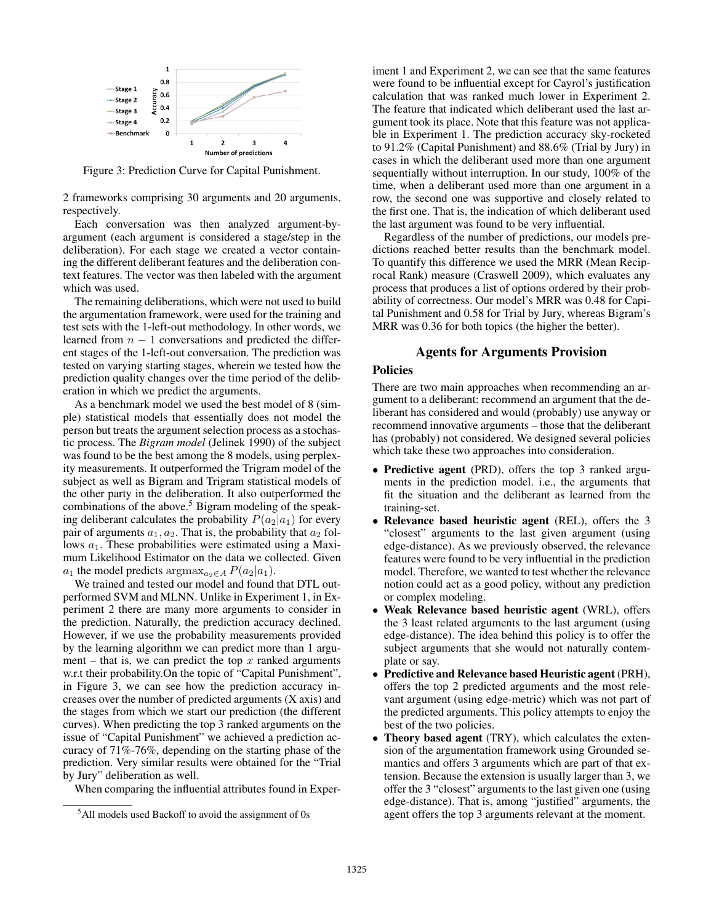

Figure 3: Prediction Curve for Capital Punishment.

2 frameworks comprising 30 arguments and 20 arguments, respectively.

Each conversation was then analyzed argument-byargument (each argument is considered a stage/step in the deliberation). For each stage we created a vector containing the different deliberant features and the deliberation context features. The vector was then labeled with the argument which was used.

The remaining deliberations, which were not used to build the argumentation framework, were used for the training and test sets with the 1-left-out methodology. In other words, we learned from  $n - 1$  conversations and predicted the different stages of the 1-left-out conversation. The prediction was tested on varying starting stages, wherein we tested how the prediction quality changes over the time period of the deliberation in which we predict the arguments.

As a benchmark model we used the best model of 8 (simple) statistical models that essentially does not model the person but treats the argument selection process as a stochastic process. The *Bigram model* (Jelinek 1990) of the subject was found to be the best among the 8 models, using perplexity measurements. It outperformed the Trigram model of the subject as well as Bigram and Trigram statistical models of the other party in the deliberation. It also outperformed the combinations of the above.<sup>5</sup> Bigram modeling of the speaking deliberant calculates the probability  $P(a_2|a_1)$  for every pair of arguments  $a_1, a_2$ . That is, the probability that  $a_2$  follows  $a_1$ . These probabilities were estimated using a Maximum Likelihood Estimator on the data we collected. Given  $a_1$  the model predicts argmax<sub>a<sub>2</sub>∈A</sub>  $P(a_2|a_1)$ .

We trained and tested our model and found that DTL outperformed SVM and MLNN. Unlike in Experiment 1, in Experiment 2 there are many more arguments to consider in the prediction. Naturally, the prediction accuracy declined. However, if we use the probability measurements provided by the learning algorithm we can predict more than 1 argument – that is, we can predict the top  $x$  ranked arguments w.r.t their probability.On the topic of "Capital Punishment", in Figure 3, we can see how the prediction accuracy increases over the number of predicted arguments (X axis) and the stages from which we start our prediction (the different curves). When predicting the top 3 ranked arguments on the issue of "Capital Punishment" we achieved a prediction accuracy of 71%-76%, depending on the starting phase of the prediction. Very similar results were obtained for the "Trial by Jury" deliberation as well.

When comparing the influential attributes found in Exper-

iment 1 and Experiment 2, we can see that the same features were found to be influential except for Cayrol's justification calculation that was ranked much lower in Experiment 2. The feature that indicated which deliberant used the last argument took its place. Note that this feature was not applicable in Experiment 1. The prediction accuracy sky-rocketed to 91.2% (Capital Punishment) and 88.6% (Trial by Jury) in cases in which the deliberant used more than one argument sequentially without interruption. In our study, 100% of the time, when a deliberant used more than one argument in a row, the second one was supportive and closely related to the first one. That is, the indication of which deliberant used the last argument was found to be very influential.

Regardless of the number of predictions, our models predictions reached better results than the benchmark model. To quantify this difference we used the MRR (Mean Reciprocal Rank) measure (Craswell 2009), which evaluates any process that produces a list of options ordered by their probability of correctness. Our model's MRR was 0.48 for Capital Punishment and 0.58 for Trial by Jury, whereas Bigram's MRR was 0.36 for both topics (the higher the better).

## Agents for Arguments Provision

# Policies

There are two main approaches when recommending an argument to a deliberant: recommend an argument that the deliberant has considered and would (probably) use anyway or recommend innovative arguments – those that the deliberant has (probably) not considered. We designed several policies which take these two approaches into consideration.

- Predictive agent (PRD), offers the top 3 ranked arguments in the prediction model. i.e., the arguments that fit the situation and the deliberant as learned from the training-set.
- Relevance based heuristic agent (REL), offers the 3 "closest" arguments to the last given argument (using edge-distance). As we previously observed, the relevance features were found to be very influential in the prediction model. Therefore, we wanted to test whether the relevance notion could act as a good policy, without any prediction or complex modeling.
- Weak Relevance based heuristic agent (WRL), offers the 3 least related arguments to the last argument (using edge-distance). The idea behind this policy is to offer the subject arguments that she would not naturally contemplate or say.
- Predictive and Relevance based Heuristic agent (PRH), offers the top 2 predicted arguments and the most relevant argument (using edge-metric) which was not part of the predicted arguments. This policy attempts to enjoy the best of the two policies.
- Theory based agent (TRY), which calculates the extension of the argumentation framework using Grounded semantics and offers 3 arguments which are part of that extension. Because the extension is usually larger than 3, we offer the 3 "closest" arguments to the last given one (using edge-distance). That is, among "justified" arguments, the agent offers the top 3 arguments relevant at the moment.

<sup>5</sup>All models used Backoff to avoid the assignment of 0s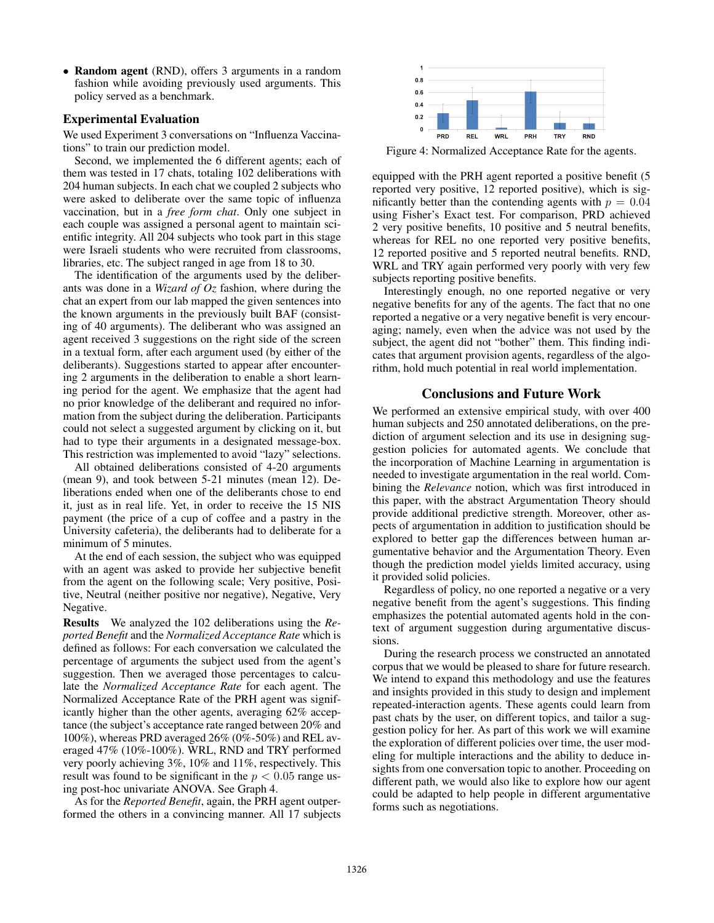• Random agent (RND), offers 3 arguments in a random fashion while avoiding previously used arguments. This policy served as a benchmark.

#### Experimental Evaluation

We used Experiment 3 conversations on "Influenza Vaccinations" to train our prediction model.

Second, we implemented the 6 different agents; each of them was tested in 17 chats, totaling 102 deliberations with 204 human subjects. In each chat we coupled 2 subjects who were asked to deliberate over the same topic of influenza vaccination, but in a *free form chat*. Only one subject in each couple was assigned a personal agent to maintain scientific integrity. All 204 subjects who took part in this stage were Israeli students who were recruited from classrooms, libraries, etc. The subject ranged in age from 18 to 30.

The identification of the arguments used by the deliberants was done in a *Wizard of Oz* fashion, where during the chat an expert from our lab mapped the given sentences into the known arguments in the previously built BAF (consisting of 40 arguments). The deliberant who was assigned an agent received 3 suggestions on the right side of the screen in a textual form, after each argument used (by either of the deliberants). Suggestions started to appear after encountering 2 arguments in the deliberation to enable a short learning period for the agent. We emphasize that the agent had no prior knowledge of the deliberant and required no information from the subject during the deliberation. Participants could not select a suggested argument by clicking on it, but had to type their arguments in a designated message-box. This restriction was implemented to avoid "lazy" selections.

All obtained deliberations consisted of 4-20 arguments (mean 9), and took between 5-21 minutes (mean 12). Deliberations ended when one of the deliberants chose to end it, just as in real life. Yet, in order to receive the 15 NIS payment (the price of a cup of coffee and a pastry in the University cafeteria), the deliberants had to deliberate for a minimum of 5 minutes.

At the end of each session, the subject who was equipped with an agent was asked to provide her subjective benefit from the agent on the following scale; Very positive, Positive, Neutral (neither positive nor negative), Negative, Very Negative.

Results We analyzed the 102 deliberations using the *Reported Benefit* and the *Normalized Acceptance Rate* which is defined as follows: For each conversation we calculated the percentage of arguments the subject used from the agent's suggestion. Then we averaged those percentages to calculate the *Normalized Acceptance Rate* for each agent. The Normalized Acceptance Rate of the PRH agent was significantly higher than the other agents, averaging 62% acceptance (the subject's acceptance rate ranged between 20% and 100%), whereas PRD averaged 26% (0%-50%) and REL averaged 47% (10%-100%). WRL, RND and TRY performed very poorly achieving 3%, 10% and 11%, respectively. This result was found to be significant in the  $p < 0.05$  range using post-hoc univariate ANOVA. See Graph 4.

As for the *Reported Benefit*, again, the PRH agent outperformed the others in a convincing manner. All 17 subjects



Figure 4: Normalized Acceptance Rate for the agents.

equipped with the PRH agent reported a positive benefit (5 reported very positive, 12 reported positive), which is significantly better than the contending agents with  $p = 0.04$ using Fisher's Exact test. For comparison, PRD achieved 2 very positive benefits, 10 positive and 5 neutral benefits, whereas for REL no one reported very positive benefits, 12 reported positive and 5 reported neutral benefits. RND, WRL and TRY again performed very poorly with very few subjects reporting positive benefits.

Interestingly enough, no one reported negative or very negative benefits for any of the agents. The fact that no one reported a negative or a very negative benefit is very encouraging; namely, even when the advice was not used by the subject, the agent did not "bother" them. This finding indicates that argument provision agents, regardless of the algorithm, hold much potential in real world implementation.

# Conclusions and Future Work

We performed an extensive empirical study, with over 400 human subjects and 250 annotated deliberations, on the prediction of argument selection and its use in designing suggestion policies for automated agents. We conclude that the incorporation of Machine Learning in argumentation is needed to investigate argumentation in the real world. Combining the *Relevance* notion, which was first introduced in this paper, with the abstract Argumentation Theory should provide additional predictive strength. Moreover, other aspects of argumentation in addition to justification should be explored to better gap the differences between human argumentative behavior and the Argumentation Theory. Even though the prediction model yields limited accuracy, using it provided solid policies.

Regardless of policy, no one reported a negative or a very negative benefit from the agent's suggestions. This finding emphasizes the potential automated agents hold in the context of argument suggestion during argumentative discussions.

During the research process we constructed an annotated corpus that we would be pleased to share for future research. We intend to expand this methodology and use the features and insights provided in this study to design and implement repeated-interaction agents. These agents could learn from past chats by the user, on different topics, and tailor a suggestion policy for her. As part of this work we will examine the exploration of different policies over time, the user modeling for multiple interactions and the ability to deduce insights from one conversation topic to another. Proceeding on different path, we would also like to explore how our agent could be adapted to help people in different argumentative forms such as negotiations.